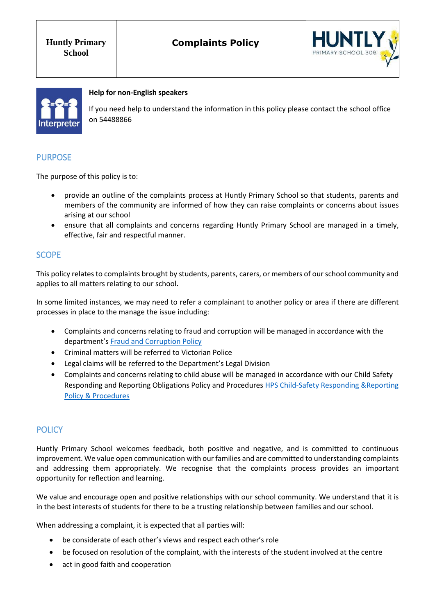



### **Help for non-English speakers**

If you need help to understand the information in this policy please contact the school office on 54488866

# PURPOSE

The purpose of this policy is to:

- provide an outline of the complaints process at Huntly Primary School so that students, parents and members of the community are informed of how they can raise complaints or concerns about issues arising at our school
- ensure that all complaints and concerns regarding Huntly Primary School are managed in a timely, effective, fair and respectful manner.

# **SCOPE**

This policy relates to complaints brought by students, parents, carers, or members of our school community and applies to all matters relating to our school.

In some limited instances, we may need to refer a complainant to another policy or area if there are different processes in place to the manage the issue including:

- Complaints and concerns relating to fraud and corruption will be managed in accordance with the department's [Fraud and Corruption Policy](https://www2.education.vic.gov.au/pal/report-fraud-or-corruption/overview)
- Criminal matters will be referred to Victorian Police
- Legal claims will be referred to the Department's Legal Division
- Complaints and concerns relating to child abuse will be managed in accordance with our Child Safety Responding and Reporting Obligations Policy and Procedures [HPS Child-Safety Responding &Reporting](http://www.huntly-ps.vic.edu.au/wordpress/wp-content/uploads/2021/03/HPS-Child-Safety-Responding-and-Reporting-Policy-and-Procedures.pdf)  [Policy & Procedures](http://www.huntly-ps.vic.edu.au/wordpress/wp-content/uploads/2021/03/HPS-Child-Safety-Responding-and-Reporting-Policy-and-Procedures.pdf)

# **POLICY**

Huntly Primary School welcomes feedback, both positive and negative, and is committed to continuous improvement. We value open communication with our families and are committed to understanding complaints and addressing them appropriately. We recognise that the complaints process provides an important opportunity for reflection and learning.

We value and encourage open and positive relationships with our school community. We understand that it is in the best interests of students for there to be a trusting relationship between families and our school.

When addressing a complaint, it is expected that all parties will:

- be considerate of each other's views and respect each other's role
- be focused on resolution of the complaint, with the interests of the student involved at the centre
- act in good faith and cooperation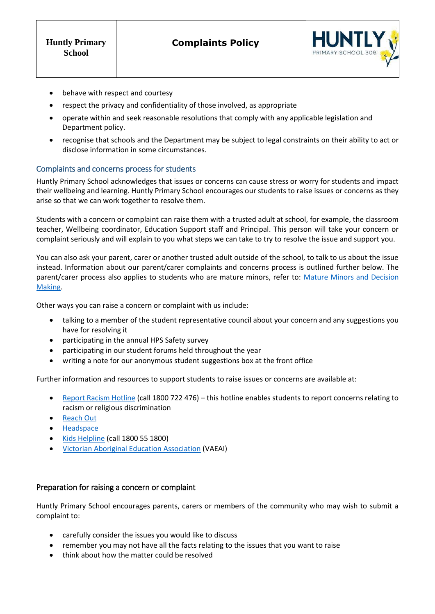

- behave with respect and courtesy
- respect the privacy and confidentiality of those involved, as appropriate
- operate within and seek reasonable resolutions that comply with any applicable legislation and Department policy.
- recognise that schools and the Department may be subject to legal constraints on their ability to act or disclose information in some circumstances.

### Complaints and concerns process for students

Huntly Primary School acknowledges that issues or concerns can cause stress or worry for students and impact their wellbeing and learning. Huntly Primary School encourages our students to raise issues or concerns as they arise so that we can work together to resolve them.

Students with a concern or complaint can raise them with a trusted adult at school, for example, the classroom teacher, Wellbeing coordinator, Education Support staff and Principal. This person will take your concern or complaint seriously and will explain to you what steps we can take to try to resolve the issue and support you.

You can also ask your parent, carer or another trusted adult outside of the school, to talk to us about the issue instead. Information about our parent/carer complaints and concerns process is outlined further below. The parent/carer process also applies to students who are mature minors, refer to: [Mature Minors and Decision](https://www2.education.vic.gov.au/pal/mature-minors-and-decision-making/policy)  [Making.](https://www2.education.vic.gov.au/pal/mature-minors-and-decision-making/policy)

Other ways you can raise a concern or complaint with us include:

- talking to a member of the student representative council about your concern and any suggestions you have for resolving it
- participating in the annual HPS Safety survey
- participating in our student forums held throughout the year
- writing a note for our anonymous student suggestions box at the front office

Further information and resources to support students to raise issues or concerns are available at:

- [Report Racism Hotline](https://www.vic.gov.au/report-racism-or-religious-discrimination-schools) (call 1800 722 476) this hotline enables students to report concerns relating to racism or religious discrimination
- **[Reach Out](https://au.reachout.com/?gclid=CjwKCAiAgbiQBhAHEiwAuQ6BktaB5xneGFK3TnOql5c5eZ7af7dDm9ffLZa7N59FEtbtQzVIk8sGWhoC8N0QAvD_BwE)**
- **[Headspace](https://headspace.org.au/)**
- [Kids Helpline](https://kidshelpline.com.au/?gclid=CjwKCAiAgbiQBhAHEiwAuQ6Bkro6UD2EBcRILznFnRhKjfi5I84jJlUa0fyiiYLQ4mHx5sXTStxH8BoCCEIQAvD_BwE) (call 1800 55 1800)
- [Victorian Aboriginal Education Association](https://www.vaeai.org.au/) (VAEAI)

### Preparation for raising a concern or complaint

Huntly Primary School encourages parents, carers or members of the community who may wish to submit a complaint to:

- carefully consider the issues you would like to discuss
- remember you may not have all the facts relating to the issues that you want to raise
- think about how the matter could be resolved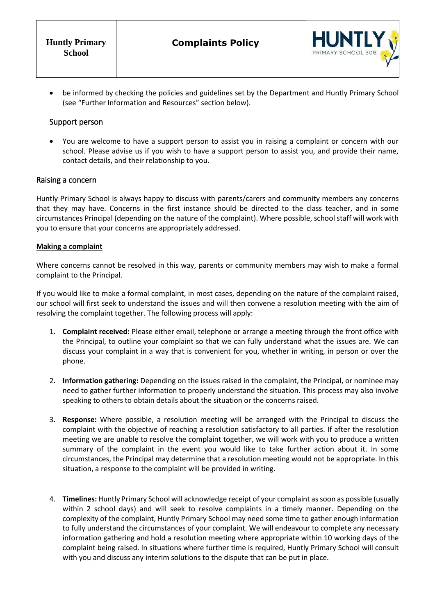

• be informed by checking the policies and guidelines set by the Department and Huntly Primary School (see "Further Information and Resources" section below).

### Support person

• You are welcome to have a support person to assist you in raising a complaint or concern with our school. Please advise us if you wish to have a support person to assist you, and provide their name, contact details, and their relationship to you.

#### Raising a concern

Huntly Primary School is always happy to discuss with parents/carers and community members any concerns that they may have. Concerns in the first instance should be directed to the class teacher, and in some circumstances Principal (depending on the nature of the complaint). Where possible, school staff will work with you to ensure that your concerns are appropriately addressed.

#### **Making a complaint**

Where concerns cannot be resolved in this way, parents or community members may wish to make a formal complaint to the Principal.

If you would like to make a formal complaint, in most cases, depending on the nature of the complaint raised, our school will first seek to understand the issues and will then convene a resolution meeting with the aim of resolving the complaint together. The following process will apply:

- 1. **Complaint received:** Please either email, telephone or arrange a meeting through the front office with the Principal, to outline your complaint so that we can fully understand what the issues are. We can discuss your complaint in a way that is convenient for you, whether in writing, in person or over the phone.
- 2. **Information gathering:** Depending on the issues raised in the complaint, the Principal, or nominee may need to gather further information to properly understand the situation. This process may also involve speaking to others to obtain details about the situation or the concerns raised.
- 3. **Response:** Where possible, a resolution meeting will be arranged with the Principal to discuss the complaint with the objective of reaching a resolution satisfactory to all parties. If after the resolution meeting we are unable to resolve the complaint together, we will work with you to produce a written summary of the complaint in the event you would like to take further action about it. In some circumstances, the Principal may determine that a resolution meeting would not be appropriate. In this situation, a response to the complaint will be provided in writing.
- 4. **Timelines:** Huntly Primary School will acknowledge receipt of your complaint as soon as possible (usually within 2 school days) and will seek to resolve complaints in a timely manner. Depending on the complexity of the complaint, Huntly Primary School may need some time to gather enough information to fully understand the circumstances of your complaint. We will endeavour to complete any necessary information gathering and hold a resolution meeting where appropriate within 10 working days of the complaint being raised. In situations where further time is required, Huntly Primary School will consult with you and discuss any interim solutions to the dispute that can be put in place.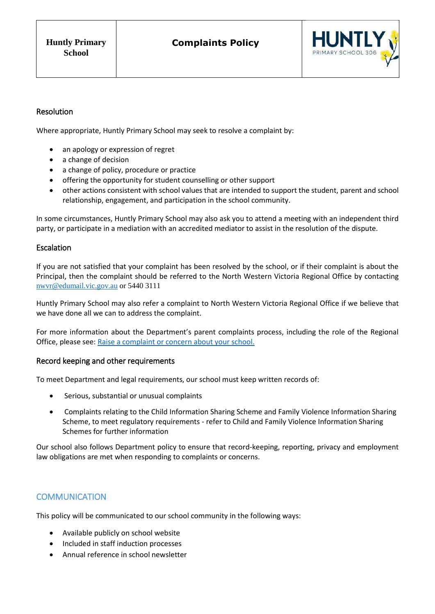

### Resolution

Where appropriate, Huntly Primary School may seek to resolve a complaint by:

- an apology or expression of regret
- a change of decision
- a change of policy, procedure or practice
- offering the opportunity for student counselling or other support
- other actions consistent with school values that are intended to support the student, parent and school relationship, engagement, and participation in the school community.

In some circumstances, Huntly Primary School may also ask you to attend a meeting with an independent third party, or participate in a mediation with an accredited mediator to assist in the resolution of the dispute.

### Escalation

If you are not satisfied that your complaint has been resolved by the school, or if their complaint is about the Principal, then the complaint should be referred to the North Western Victoria Regional Office by contacting [nwvr@edumail.vic.gov.au](mailto:nwvr@edumail.vic.gov.au) or 5440 3111

Huntly Primary School may also refer a complaint to North Western Victoria Regional Office if we believe that we have done all we can to address the complaint.

For more information about the Department's parent complaints process, including the role of the Regional Office, please see[: Raise a complaint or concern about your school.](https://www.vic.gov.au/raise-complaint-or-concern-about-your-school#speaking-to-your-school)

#### Record keeping and other requirements

To meet Department and legal requirements, our school must keep written records of:

- Serious, substantial or unusual complaints
- Complaints relating to the Child Information Sharing Scheme and Family Violence Information Sharing Scheme, to meet regulatory requirements - refer to Child and Family Violence Information Sharing Schemes for further information

Our school also follows Department policy to ensure that record-keeping, reporting, privacy and employment law obligations are met when responding to complaints or concerns.

# **COMMUNICATION**

This policy will be communicated to our school community in the following ways:

- Available publicly on school website
- Included in staff induction processes
- Annual reference in school newsletter